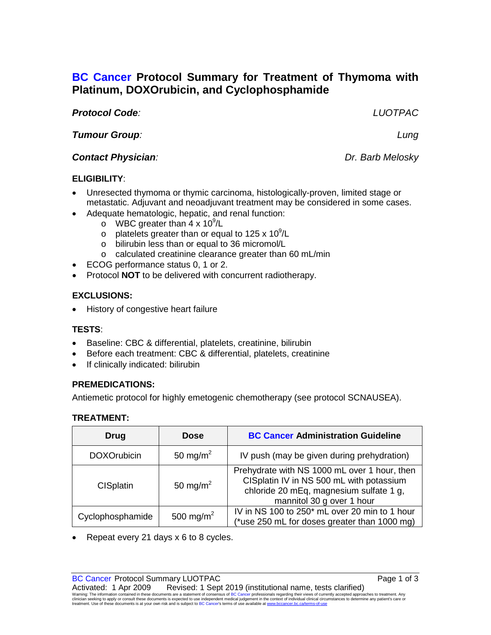# **BC Cancer Protocol Summary for Treatment of Thymoma with Platinum, DOXOrubicin, and Cyclophosphamide**

#### *Protocol Code: LUOTPAC*

### *Tumour Group: Lung*

### **Contact Physician**: **Dr. Barb Melosky**

#### **ELIGIBILITY**:

- Unresected thymoma or thymic carcinoma, histologically-proven, limited stage or metastatic. Adjuvant and neoadjuvant treatment may be considered in some cases.
- Adequate hematologic, hepatic, and renal function:
	- o WBC greater than  $4 \times 10^9$ /L
	- $\circ$  platelets greater than or equal to 125 x 10<sup>9</sup>/L
	- o bilirubin less than or equal to 36 micromol/L
	- o calculated creatinine clearance greater than 60 mL/min
- ECOG performance status 0, 1 or 2.
- Protocol **NOT** to be delivered with concurrent radiotherapy.

# **EXCLUSIONS:**

• History of congestive heart failure

# **TESTS**:

- Baseline: CBC & differential, platelets, creatinine, bilirubin
- Before each treatment: CBC & differential, platelets, creatinine
- If clinically indicated: bilirubin

# **PREMEDICATIONS:**

Antiemetic protocol for highly emetogenic chemotherapy (see protocol SCNAUSEA).

#### **TREATMENT:**

| <b>Drug</b>        | <b>Dose</b>           | <b>BC Cancer Administration Guideline</b>                                                                                                                        |
|--------------------|-----------------------|------------------------------------------------------------------------------------------------------------------------------------------------------------------|
| <b>DOXOrubicin</b> | 50 mg/m <sup>2</sup>  | IV push (may be given during prehydration)                                                                                                                       |
| <b>CISplatin</b>   | 50 mg/m <sup>2</sup>  | Prehydrate with NS 1000 mL over 1 hour, then<br>CISplatin IV in NS 500 mL with potassium<br>chloride 20 mEq, magnesium sulfate 1 g,<br>mannitol 30 g over 1 hour |
| Cyclophosphamide   | 500 mg/m <sup>2</sup> | IV in NS 100 to 250 <sup>*</sup> mL over 20 min to 1 hour<br>(*use 250 mL for doses greater than 1000 mg)                                                        |

• Repeat every 21 days x 6 to 8 cycles.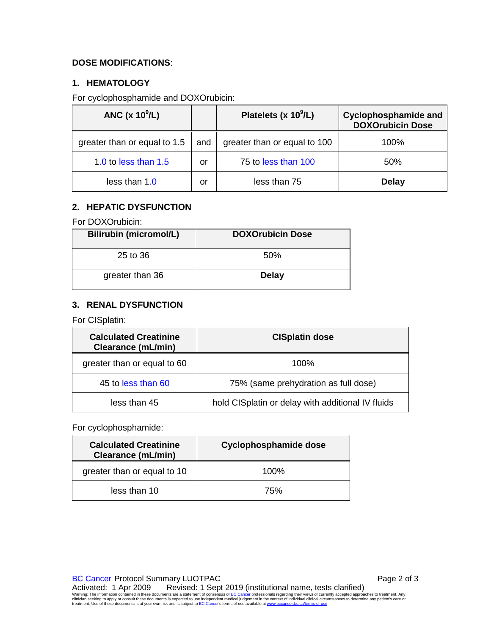#### **DOSE MODIFICATIONS**:

### **1. HEMATOLOGY**

For cyclophosphamide and DOXOrubicin:

| ANC $(x 10^9/L)$             |     | Platelets (x 10 <sup>9</sup> /L) | <b>Cyclophosphamide and</b><br><b>DOXOrubicin Dose</b> |
|------------------------------|-----|----------------------------------|--------------------------------------------------------|
| greater than or equal to 1.5 | and | greater than or equal to 100     | 100%                                                   |
| 1.0 to less than 1.5         | or  | 75 to less than 100              | 50%                                                    |
| less than 1.0                | or  | less than 75                     | <b>Delay</b>                                           |

#### **2. HEPATIC DYSFUNCTION**

For DOXOrubicin:

| <b>Bilirubin (micromol/L)</b> | <b>DOXOrubicin Dose</b> |
|-------------------------------|-------------------------|
| 25 to 36                      | .50%                    |
| greater than 36               | <b>Delay</b>            |

#### **3. RENAL DYSFUNCTION**

For CISplatin:

| <b>Calculated Creatinine</b><br>Clearance (mL/min) | <b>CISplatin dose</b>                             |
|----------------------------------------------------|---------------------------------------------------|
| greater than or equal to 60                        | $100\%$                                           |
| 45 to less than 60                                 | 75% (same prehydration as full dose)              |
| less than 45                                       | hold CISplatin or delay with additional IV fluids |

#### For cyclophosphamide:

| <b>Calculated Creatinine</b><br><b>Clearance (mL/min)</b> | Cyclophosphamide dose |
|-----------------------------------------------------------|-----------------------|
| greater than or equal to 10                               | $100\%$               |
| less than 10                                              | 75%                   |